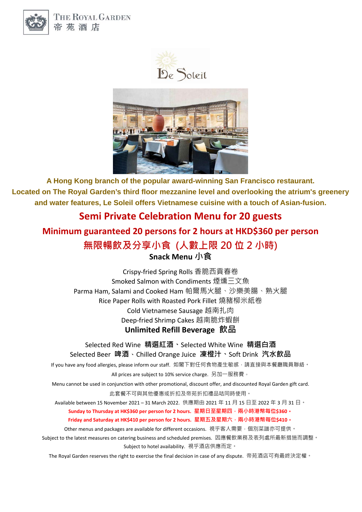

THE ROYAL GARDEN 帝苑酒店





**A Hong Kong branch of the popular award-winning San Francisco restaurant. Located on The Royal Garden's third floor mezzanine level and overlooking the atrium's greenery and water features, Le Soleil offers Vietnamese cuisine with a touch of Asian-fusion.** 

## **Semi Private Celebration Menu for 20 guests**

# **Minimum guaranteed 20 persons for 2 hours at HKD\$360 per person 無限暢飲及分享小食 (人數上限 20 位 2 小時) Snack Menu 小食**

Crispy-fried Spring Rolls 香脆西貢春卷 Smoked Salmon with Condiments 煙燻三文魚 Parma Ham, Salami and Cooked Ham 帕爾馬火腿、沙樂美腸、熟火腿 Rice Paper Rolls with Roasted Pork Fillet 燒豬柳米紙卷 Cold Vietnamese Sausage 越南扎肉 Deep-fried Shrimp Cakes 越南脆炸蝦餅

**Unlimited Refill Beverage 飲品**

Selected Red Wine **精選紅酒、**Selected White Wine **精選白酒**

Selected Beer **啤酒**、Chilled Orange Juice **凍橙汁、**Soft Drink **汽水飲品**

If you have any food allergies, please inform our staff. 如閣下對任何食物產生敏感,請直接與本餐廳職員聯絡。

All prices are subject to 10% service charge. 另加一服務費。

Menu cannot be used in conjunction with other promotional, discount offer, and discounted Royal Garden gift card. 此套餐不可與其他優惠或折扣及帝苑折扣禮品咭同時使用。

Available between 15 November 2021 – 31 March 2022. 供應期由 2021 年 11 月 15 日至 2022 年 3 月 31 日。

**Sunday to Thursday at HK\$360 per person for 2 hours. 星期日至星期四,兩小時港幣每位\$360**。

#### **Friday and Saturday at HK\$410 per person for 2 hours. 星期五及星期六,兩小時港幣每位\$410**。

Other menus and packages are available for different occasions. 視乎客人需要,個別菜譜亦可提供。

Subject to the latest measures on catering business and scheduled premises. 因應餐飲業務及表列處所最新措施而調整。 Subject to hotel availability. 視乎酒店供應而定。

The Royal Garden reserves the right to exercise the final decision in case of any dispute. 帝苑酒店可有最終決定權。